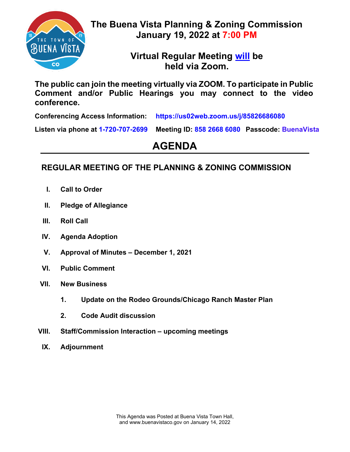

**The Buena Vista Planning & Zoning Commission January 19, 2022 at 7:00 PM**

> **Virtual Regular Meeting will be held via Zoom.**

**The public can join the meeting virtually via ZOOM. To participate in Public Comment and/or Public Hearings you may connect to the video conference.**

**Conferencing Access Information: https://us02web.zoom.us/j/85826686080**

**Listen via phone at 1-720-707-2699 Meeting ID: 858 2668 6080 Passcode: BuenaVista**

# **AGENDA**

## **REGULAR MEETING OF THE PLANNING & ZONING COMMISSION**

- **I. Call to Order**
- **II. Pledge of Allegiance**
- **III. Roll Call**
- **IV. Agenda Adoption**
- **V. Approval of Minutes – December 1, 2021**
- **VI. Public Comment**
- **VII. New Business**
	- **1. Update on the Rodeo Grounds/Chicago Ranch Master Plan**
	- **2. Code Audit discussion**
- **VIII. Staff/Commission Interaction – upcoming meetings**
- **IX. Adjournment**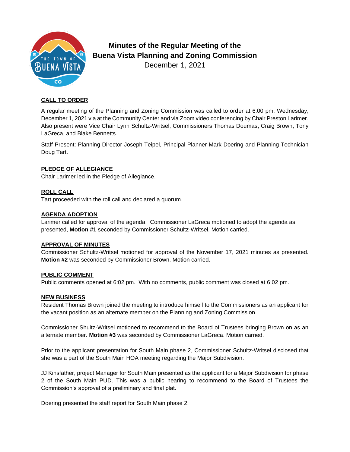

### **Minutes of the Regular Meeting of the Buena Vista Planning and Zoning Commission** December 1, 2021

#### **CALL TO ORDER**

A regular meeting of the Planning and Zoning Commission was called to order at 6:00 pm, Wednesday, December 1, 2021 via at the Community Center and via Zoom video conferencing by Chair Preston Larimer. Also present were Vice Chair Lynn Schultz-Writsel, Commissioners Thomas Doumas, Craig Brown, Tony LaGreca, and Blake Bennetts.

Staff Present: Planning Director Joseph Teipel, Principal Planner Mark Doering and Planning Technician Doug Tart.

#### **PLEDGE OF ALLEGIANCE**

Chair Larimer led in the Pledge of Allegiance.

#### **ROLL CALL**

Tart proceeded with the roll call and declared a quorum.

#### **AGENDA ADOPTION**

Larimer called for approval of the agenda. Commissioner LaGreca motioned to adopt the agenda as presented, **Motion #1** seconded by Commissioner Schultz-Writsel. Motion carried.

#### **APPROVAL OF MINUTES**

Commissioner Schultz-Writsel motioned for approval of the November 17, 2021 minutes as presented. **Motion #2** was seconded by Commissioner Brown. Motion carried.

#### **PUBLIC COMMENT**

Public comments opened at 6:02 pm. With no comments, public comment was closed at 6:02 pm.

#### **NEW BUSINESS**

Resident Thomas Brown joined the meeting to introduce himself to the Commissioners as an applicant for the vacant position as an alternate member on the Planning and Zoning Commission.

Commissioner Shultz-Writsel motioned to recommend to the Board of Trustees bringing Brown on as an alternate member. **Motion #3** was seconded by Commissioner LaGreca. Motion carried.

Prior to the applicant presentation for South Main phase 2, Commissioner Schultz-Writsel disclosed that she was a part of the South Main HOA meeting regarding the Major Subdivision.

JJ Kinsfather, project Manager for South Main presented as the applicant for a Major Subdivision for phase 2 of the South Main PUD. This was a public hearing to recommend to the Board of Trustees the Commission's approval of a preliminary and final plat.

Doering presented the staff report for South Main phase 2.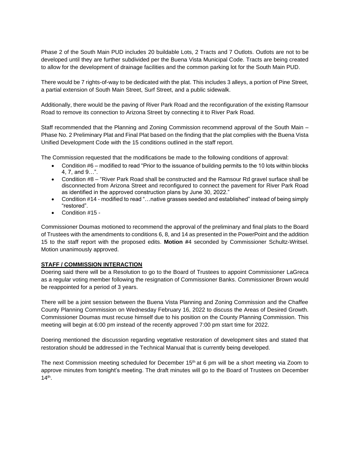Phase 2 of the South Main PUD includes 20 buildable Lots, 2 Tracts and 7 Outlots. Outlots are not to be developed until they are further subdivided per the Buena Vista Municipal Code. Tracts are being created to allow for the development of drainage facilities and the common parking lot for the South Main PUD.

There would be 7 rights-of-way to be dedicated with the plat. This includes 3 alleys, a portion of Pine Street, a partial extension of South Main Street, Surf Street, and a public sidewalk.

Additionally, there would be the paving of River Park Road and the reconfiguration of the existing Ramsour Road to remove its connection to Arizona Street by connecting it to River Park Road.

Staff recommended that the Planning and Zoning Commission recommend approval of the South Main – Phase No. 2 Preliminary Plat and Final Plat based on the finding that the plat complies with the Buena Vista Unified Development Code with the 15 conditions outlined in the staff report.

The Commission requested that the modifications be made to the following conditions of approval:

- Condition #6 modified to read "Prior to the issuance of building permits to the 10 lots within blocks 4, 7, and 9…".
- Condition #8 "River Park Road shall be constructed and the Ramsour Rd gravel surface shall be disconnected from Arizona Street and reconfigured to connect the pavement for River Park Road as identified in the approved construction plans by June 30, 2022."
- Condition #14 modified to read "...native grasses seeded and established" instead of being simply "restored".
- Condition #15 -

Commissioner Doumas motioned to recommend the approval of the preliminary and final plats to the Board of Trustees with the amendments to conditions 6, 8, and 14 as presented in the PowerPoint and the addition 15 to the staff report with the proposed edits. **Motion #**4 seconded by Commissioner Schultz-Writsel. Motion unanimously approved.

#### **STAFF / COMMISSION INTERACTION**

Doering said there will be a Resolution to go to the Board of Trustees to appoint Commissioner LaGreca as a regular voting member following the resignation of Commissioner Banks. Commissioner Brown would be reappointed for a period of 3 years.

There will be a joint session between the Buena Vista Planning and Zoning Commission and the Chaffee County Planning Commission on Wednesday February 16, 2022 to discuss the Areas of Desired Growth. Commissioner Doumas must recuse himself due to his position on the County Planning Commission. This meeting will begin at 6:00 pm instead of the recently approved 7:00 pm start time for 2022.

Doering mentioned the discussion regarding vegetative restoration of development sites and stated that restoration should be addressed in the Technical Manual that is currently being developed.

The next Commission meeting scheduled for December 15<sup>th</sup> at 6 pm will be a short meeting via Zoom to approve minutes from tonight's meeting. The draft minutes will go to the Board of Trustees on December 14th .